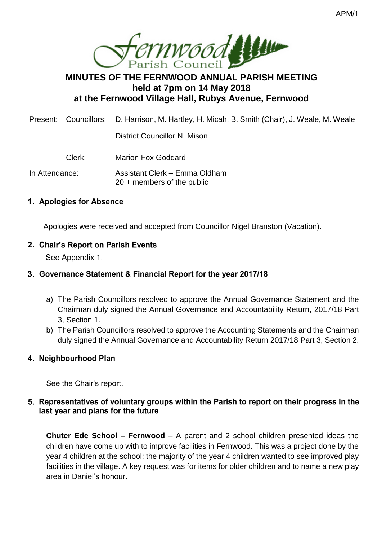

# **MINUTES OF THE FERNWOOD ANNUAL PARISH MEETING held at 7pm on 14 May 2018 at the Fernwood Village Hall, Rubys Avenue, Fernwood**

Present: Councillors: D. Harrison, M. Hartley, H. Micah, B. Smith (Chair), J. Weale, M. Weale

District Councillor N. Mison

Clerk: Marion Fox Goddard

In Attendance: Assistant Clerk – Emma Oldham 20 + members of the public

# 1. Apologies for Absence

Apologies were received and accepted from Councillor Nigel Branston (Vacation).

# 2. Chair's Report on Parish Events

See Appendix 1.

# 3. Governance Statement & Financial Report for the year 2017/18

- a) The Parish Councillors resolved to approve the Annual Governance Statement and the Chairman duly signed the Annual Governance and Accountability Return, 2017/18 Part 3, Section 1.
- b) The Parish Councillors resolved to approve the Accounting Statements and the Chairman duly signed the Annual Governance and Accountability Return 2017/18 Part 3, Section 2.

# 4. Neighbourhood Plan

See the Chair's report.

# 5. Representatives of voluntary groups within the Parish to report on their progress in the last year and plans for the future

**Chuter Ede School – Fernwood** – A parent and 2 school children presented ideas the children have come up with to improve facilities in Fernwood. This was a project done by the year 4 children at the school; the majority of the year 4 children wanted to see improved play facilities in the village. A key request was for items for older children and to name a new play area in Daniel's honour.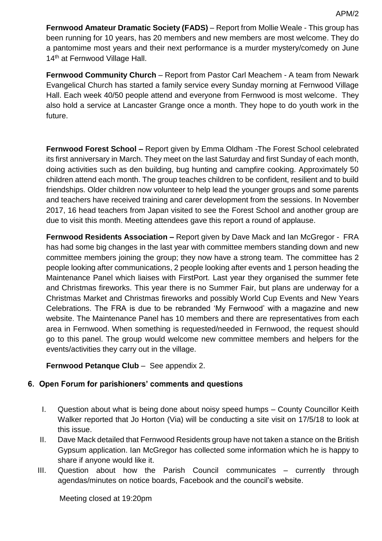**Fernwood Amateur Dramatic Society (FADS)** – Report from Mollie Weale - This group has been running for 10 years, has 20 members and new members are most welcome. They do a pantomime most years and their next performance is a murder mystery/comedy on June 14<sup>th</sup> at Fernwood Village Hall.

**Fernwood Community Church** – Report from Pastor Carl Meachem - A team from Newark Evangelical Church has started a family service every Sunday morning at Fernwood Village Hall. Each week 40/50 people attend and everyone from Fernwood is most welcome. They also hold a service at Lancaster Grange once a month. They hope to do youth work in the future.

**Fernwood Forest School –** Report given by Emma Oldham -The Forest School celebrated its first anniversary in March. They meet on the last Saturday and first Sunday of each month, doing activities such as den building, bug hunting and campfire cooking. Approximately 50 children attend each month. The group teaches children to be confident, resilient and to build friendships. Older children now volunteer to help lead the younger groups and some parents and teachers have received training and carer development from the sessions. In November 2017, 16 head teachers from Japan visited to see the Forest School and another group are due to visit this month. Meeting attendees gave this report a round of applause.

**Fernwood Residents Association –** Report given by Dave Mack and Ian McGregor - FRA has had some big changes in the last year with committee members standing down and new committee members joining the group; they now have a strong team. The committee has 2 people looking after communications, 2 people looking after events and 1 person heading the Maintenance Panel which liaises with FirstPort. Last year they organised the summer fete and Christmas fireworks. This year there is no Summer Fair, but plans are underway for a Christmas Market and Christmas fireworks and possibly World Cup Events and New Years Celebrations. The FRA is due to be rebranded 'My Fernwood' with a magazine and new website. The Maintenance Panel has 10 members and there are representatives from each area in Fernwood. When something is requested/needed in Fernwood, the request should go to this panel. The group would welcome new committee members and helpers for the events/activities they carry out in the village.

### **Fernwood Petanque Club** – See appendix 2.

### 6. Open Forum for parishioners' comments and questions

- I. Question about what is being done about noisy speed humps County Councillor Keith Walker reported that Jo Horton (Via) will be conducting a site visit on 17/5/18 to look at this issue.
- II. Dave Mack detailed that Fernwood Residents group have not taken a stance on the British Gypsum application. Ian McGregor has collected some information which he is happy to share if anyone would like it.
- III. Question about how the Parish Council communicates currently through agendas/minutes on notice boards, Facebook and the council's website.

Meeting closed at 19:20pm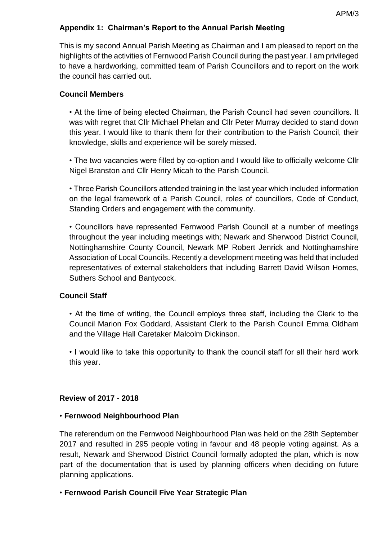# **Appendix 1: Chairman's Report to the Annual Parish Meeting**

This is my second Annual Parish Meeting as Chairman and I am pleased to report on the highlights of the activities of Fernwood Parish Council during the past year. I am privileged to have a hardworking, committed team of Parish Councillors and to report on the work the council has carried out.

### **Council Members**

• At the time of being elected Chairman, the Parish Council had seven councillors. It was with regret that Cllr Michael Phelan and Cllr Peter Murray decided to stand down this year. I would like to thank them for their contribution to the Parish Council, their knowledge, skills and experience will be sorely missed.

• The two vacancies were filled by co-option and I would like to officially welcome Cllr Nigel Branston and Cllr Henry Micah to the Parish Council.

• Three Parish Councillors attended training in the last year which included information on the legal framework of a Parish Council, roles of councillors, Code of Conduct, Standing Orders and engagement with the community.

• Councillors have represented Fernwood Parish Council at a number of meetings throughout the year including meetings with; Newark and Sherwood District Council, Nottinghamshire County Council, Newark MP Robert Jenrick and Nottinghamshire Association of Local Councils. Recently a development meeting was held that included representatives of external stakeholders that including Barrett David Wilson Homes, Suthers School and Bantycock.

### **Council Staff**

• At the time of writing, the Council employs three staff, including the Clerk to the Council Marion Fox Goddard, Assistant Clerk to the Parish Council Emma Oldham and the Village Hall Caretaker Malcolm Dickinson.

• I would like to take this opportunity to thank the council staff for all their hard work this year.

### **Review of 2017 - 2018**

### • **Fernwood Neighbourhood Plan**

The referendum on the Fernwood Neighbourhood Plan was held on the 28th September 2017 and resulted in 295 people voting in favour and 48 people voting against. As a result, Newark and Sherwood District Council formally adopted the plan, which is now part of the documentation that is used by planning officers when deciding on future planning applications.

### • **Fernwood Parish Council Five Year Strategic Plan**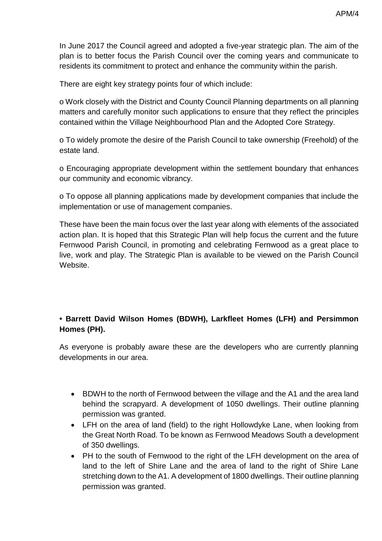In June 2017 the Council agreed and adopted a five-year strategic plan. The aim of the plan is to better focus the Parish Council over the coming years and communicate to residents its commitment to protect and enhance the community within the parish.

There are eight key strategy points four of which include:

o Work closely with the District and County Council Planning departments on all planning matters and carefully monitor such applications to ensure that they reflect the principles contained within the Village Neighbourhood Plan and the Adopted Core Strategy.

o To widely promote the desire of the Parish Council to take ownership (Freehold) of the estate land.

o Encouraging appropriate development within the settlement boundary that enhances our community and economic vibrancy.

o To oppose all planning applications made by development companies that include the implementation or use of management companies.

These have been the main focus over the last year along with elements of the associated action plan. It is hoped that this Strategic Plan will help focus the current and the future Fernwood Parish Council, in promoting and celebrating Fernwood as a great place to live, work and play. The Strategic Plan is available to be viewed on the Parish Council Website.

# **• Barrett David Wilson Homes (BDWH), Larkfleet Homes (LFH) and Persimmon Homes (PH).**

As everyone is probably aware these are the developers who are currently planning developments in our area.

- BDWH to the north of Fernwood between the village and the A1 and the area land behind the scrapyard. A development of 1050 dwellings. Their outline planning permission was granted.
- LFH on the area of land (field) to the right Hollowdyke Lane, when looking from the Great North Road. To be known as Fernwood Meadows South a development of 350 dwellings.
- PH to the south of Fernwood to the right of the LFH development on the area of land to the left of Shire Lane and the area of land to the right of Shire Lane stretching down to the A1. A development of 1800 dwellings. Their outline planning permission was granted.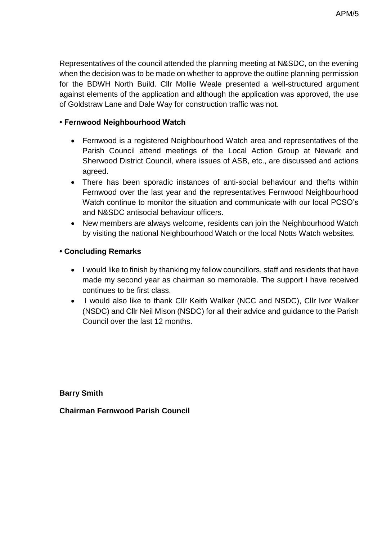Representatives of the council attended the planning meeting at N&SDC, on the evening when the decision was to be made on whether to approve the outline planning permission for the BDWH North Build. Cllr Mollie Weale presented a well-structured argument against elements of the application and although the application was approved, the use of Goldstraw Lane and Dale Way for construction traffic was not.

### **• Fernwood Neighbourhood Watch**

- Fernwood is a registered Neighbourhood Watch area and representatives of the Parish Council attend meetings of the Local Action Group at Newark and Sherwood District Council, where issues of ASB, etc., are discussed and actions agreed.
- There has been sporadic instances of anti-social behaviour and thefts within Fernwood over the last year and the representatives Fernwood Neighbourhood Watch continue to monitor the situation and communicate with our local PCSO's and N&SDC antisocial behaviour officers.
- New members are always welcome, residents can join the Neighbourhood Watch by visiting the national Neighbourhood Watch or the local Notts Watch websites.

# **• Concluding Remarks**

- I would like to finish by thanking my fellow councillors, staff and residents that have made my second year as chairman so memorable. The support I have received continues to be first class.
- I would also like to thank Cllr Keith Walker (NCC and NSDC), Cllr Ivor Walker (NSDC) and Cllr Neil Mison (NSDC) for all their advice and guidance to the Parish Council over the last 12 months.

**Barry Smith** 

**Chairman Fernwood Parish Council**